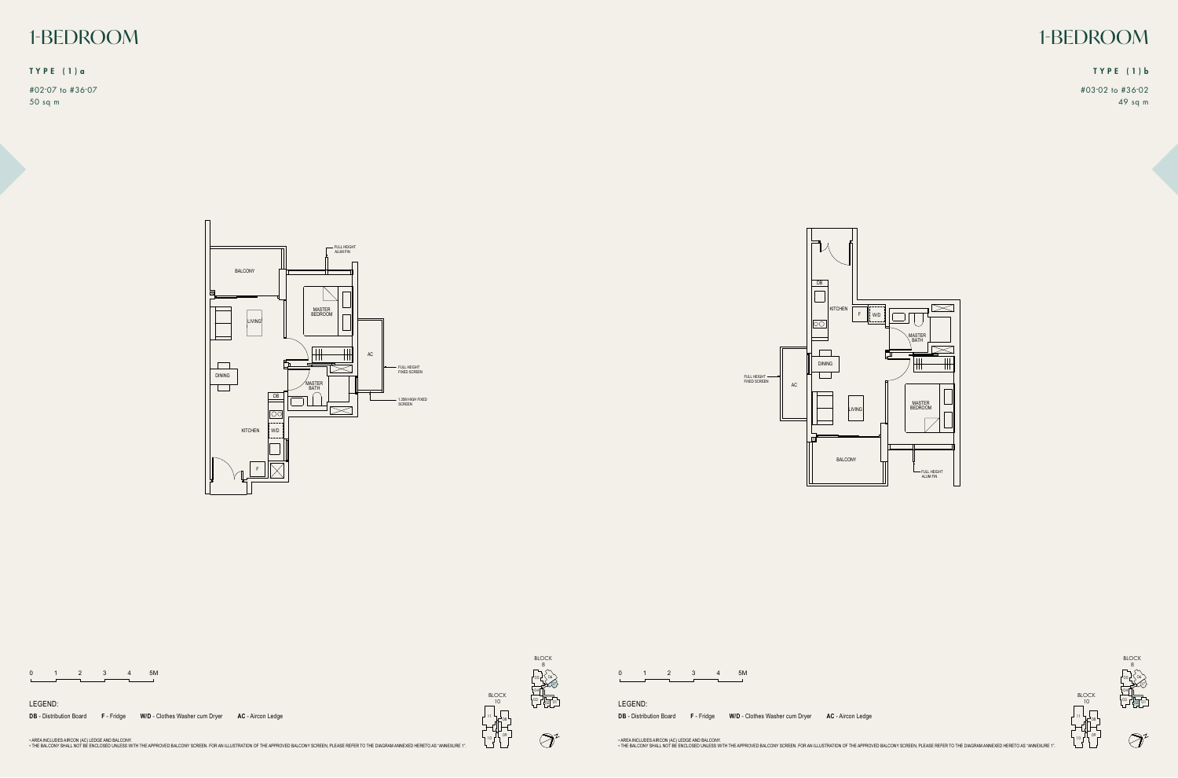FULL HEIGHT FIXED SCREEN



|  |  | 5M |
|--|--|----|
|  |  |    |

LEGEND:

F - Fridge W/D - Clothes Washer cum Dryer AC - Aircon Ledge → AC → Accommended AC → Aircon Ledge → Accommended AC → Aircon Ledge **DB** - Distribution Board F - Fridge

07

02



10

11



 $\bigcircled{}^{\!\!\! 2}$ 





All Plans are subjected to change as may required or approved by the relevant authorities. Indicated floor areas are approximate and are subjected to final survey. **DB** - Distribution Board **F** - Fridge **W/D** - Clothes Washer cum Dryer **AC** - Aircon Ledge

• AREA INCLUDES AIRCON (AC) LEDGE AND BALCONY.<br>• THE BALCONY SHALL NOT BE ENCLOSED UNLESS WITH THE APPROVED BALCONY SCREEN. FOR AN ILLUSTRATION OF THE APPROVED BALCONY SCREEN, PLEASE REFER TO THE DIAGRAM ANNEXED HERETO AS

08 11

09

# 1-BEDROOM 1-BEDROOM

#03-02 to #36-02 49 sq m

#02-07 to #36-07 50 sq m

### TYPE (1)a TYPE (1)b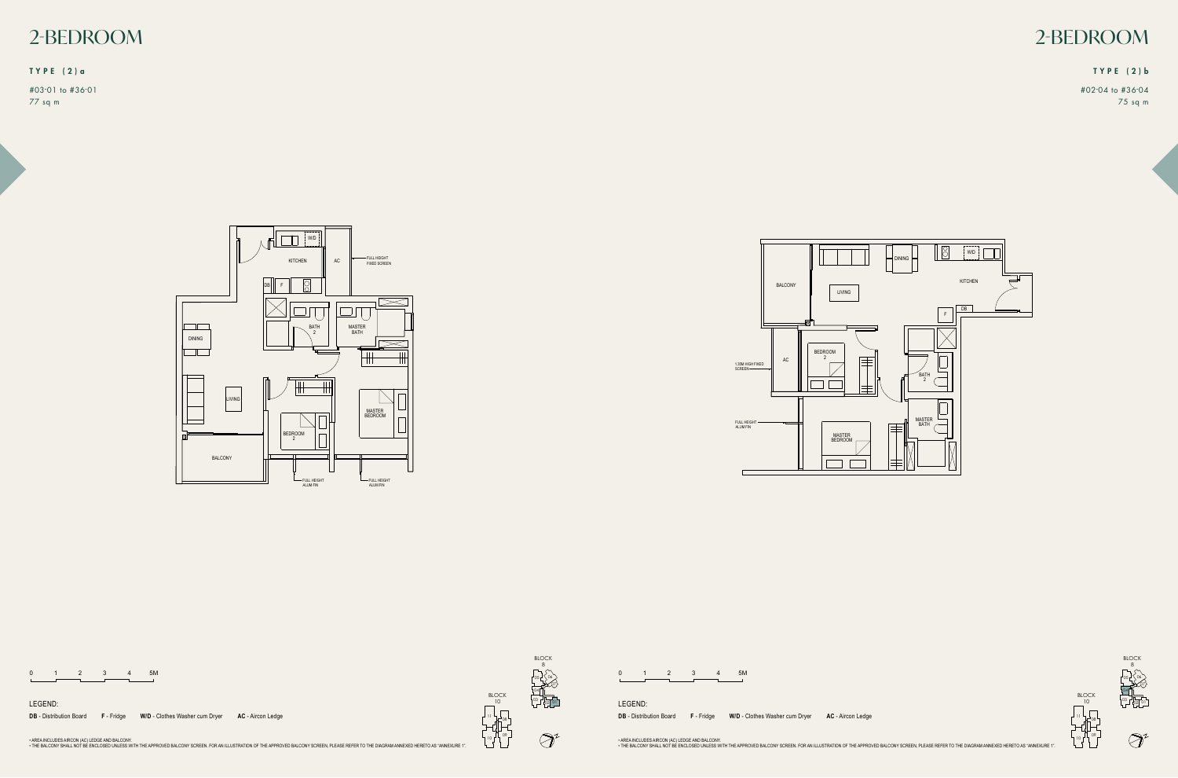



1.35M HIGH FIXED<br>SCREEN

|  |  | 5M |
|--|--|----|
|  |  |    |



LEGEND:

F - Fridge W/D - Clothes Washer cum Dryer AC - Aircon Ledge → AC → Accommended AC → Aircon Ledge → Accommended AC → Aircon Ledge **DB** - Distribution Board F - Fridge



| **WD** - Warming Drawer BLOCK 10

08

10

11

09





All Plans are subjected to change as may required or approved by the relevant authorities. Indicated floor areas are approximate and are subjected to final survey. **DB** - Distribution Board **F** - Fridge **W/D** - Clothes Washer cum Dryer **AC** - Aircon Ledge

• AREA INCLUDES AIRCON (AC) LEDGE AND BALCONY.<br>• THE BALCONY SHALL NOT BE ENCLOSED UNLESS WITH THE APPROVED BALCONY SCREEN. FOR AN ILLUSTRATION OF THE APPROVED BALCONY SCREEN, PLEASE REFER TO THE DIAGRAM ANNEXED HERETO AS







07 06



# 2-BEDROOM 2-BEDROOM

#02-04 to #36-04 75 sq m

#03-01 to #36-01 77 sq m

## TYPE (2)a TYPE (2)b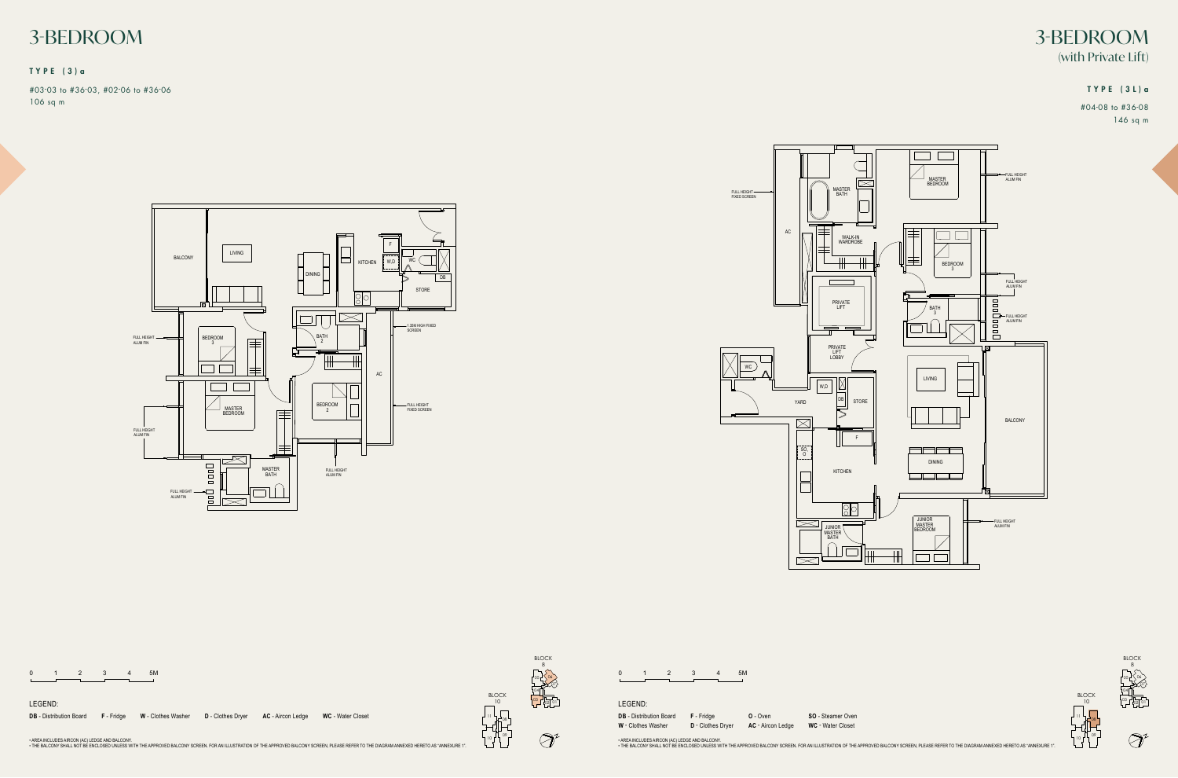|  |  |  | <b>5M</b> |
|--|--|--|-----------|
|  |  |  |           |

WC - Water Closet the balcony shall not be enclosed unless with the approved balcony screen. For an inless with the approved balcony screen. For an intervent to the diagram annexed hereto as "Annex 1" Annex 1" Annex 1" Annex 1" Annex 1" Ann **SO** - Steamer Oven

 $\bigcircled{}$ 





**DB** - Distribution Board **F** - Fridge **W** - Clothes Washer

**D** - Clothes Dryer **O** - Oven **AC** - Aircon Ledge

• AREA INCLUDES AIRCON (AC) LEDGE AND BALCONY.<br>• THE BALCONY SHALL NOT BE ENCLOSED UNLESS WITH THE APPROVED BALCONY SCREEN. FOR AN ILLUSTRATION OF THE APPROVED BALCONY SCREEN, PLEASE REFER TO THE DIAGRAM ANNEXED HERETO AS

LEGEND:



07

08

10

11

09

FULL HEIGHT FIXED SCREEN









**W** - Clothes Washer **D** - Clothes Dryer **AC** - Aircon Ledge **WC** - Water Closet AC - Aircon Ledge **WC** - Water Closet **DB** - Distribution Board F - Fridge **W** - Clothes Washer

• AREA INCLUDES AIRCON (AC) LEDGE AND BALCONY.<br>• THE BALCONY SHALL NOT BE ENCLOSED UNLESS WITH THE APPROVED BALCONY SCREEN. FOR AN ILLUSTRATION OF THE APPROVED BALCONY SCREEN, PLEASE REFER TO THE DIAGRAM ANNEXED HERETO AS

07 06

02



11

# 3-BEDROOM 3-BEDROOM (with Private Lift)

#04-08 to #36-08 146 sq m

#03-03 to #36-03, #02-06 to #36-06 106 sq m

## TYPE (3L)a

## TYPE (3)a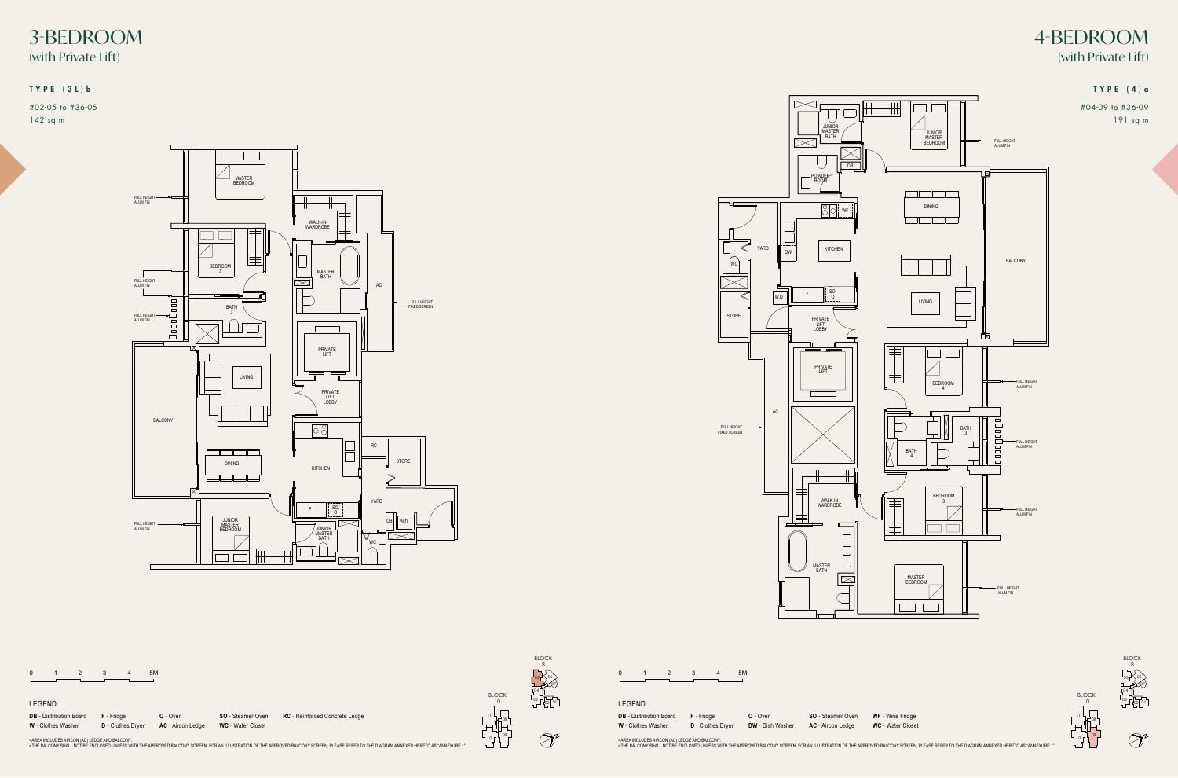|  |  |  | 5M |
|--|--|--|----|
|  |  |  |    |

AC - Aircon Ledge **SO** - Steamer Oven

**WF** - Wine Fridge All Plans are subjected to change as may require as may require as may require and are subjected to final survey. In the relevant and are survey are survey. In the relevant and are survey. In the subjected to final survey

• AREA INCLUDES AIRCON (AC) LEDGE AND BALCONY.<br>• THE BALCONY SHALL NOT BE ENCLOSED UNLESS WITH THE APPROVED BALCONY SCREEN. FOR AN ILLUSTRATION OF THE APPROVED BALCONY SCREEN, PLEASE REFER TO THE DIAGRAM ANNEXED HERETO AS

**DB** - Distribution Board **F** - Fridge **W** - Clothes Washer **D** - Clothes Dryer

**O** - Oven **DW** - Dish Washer

### LEGEND:

BLOCK 8 06 05 07  $\mathbf{F} = \begin{bmatrix} \mathbf{F} & \mathbf{F} & \mathbf{F} & \mathbf{F} & \mathbf{F} & \mathbf{F} & \mathbf{F} & \mathbf{F} & \mathbf{F} & \mathbf{F} & \mathbf{F} & \mathbf{F} & \mathbf{F} & \mathbf{F} & \mathbf{F} & \mathbf{F} & \mathbf{F} & \mathbf{F} & \mathbf{F} & \mathbf{F} & \mathbf{F} & \mathbf{F} & \mathbf{F} & \mathbf{F} & \mathbf{F} & \mathbf{F} & \mathbf{F} & \mathbf{F} & \mathbf{F} & \mathbf{$ 04 | **WD** - Warming Drawer BLOCK 10 | **VOCUUM DRAWERS**  $^{03}$   $\Box^{01}$  $^{01}$ 02 The balcony shall not be enclosed unless with the approved balcony shall not be enclosed balcony screen. For an i  $\bigcircled{}$ 

08

10

11

09





1 2 3 4 5M

## LEGEND:

**DB** - Distribution Board **F** - Fridge **W** - Clothes Washer **D** - Clothes Dryer

**AC** - Aircon Ledge

**O** - Oven **SO** - Steamer Oven

**WC** - Water Closet All Plans are subjected to change as may required or approved by the relevant authorities. Indicated floor areas are approximate and are subjected to final survey. **RC** - Reinforced Concrete Ledge the balcony shall not be enclosed unless with the approved balcony screen. For an individual balcony screen. For an individual balcony screen, please refer to the diagram annex 1. The diagram annex 1. The diagram annex 1.

• AREA INCLUDES AIRCON (AC) LEDGE AND BALCONY.<br>• THE BALCONY SHALL NOT BE ENCLOSED UNLESS WITH THE APPROVED BALCONY SCREEN. FOR AN ILLUSTRATION OF THE APPROVED BALCONY SCREEN, PLEASE REFER TO THE DIAGRAM ANNEXED HERETO AS



07

 $\bigcircled{)}^{\prime}$ 

11

09

# 3-BEDROOM 4-BEDROOM (with Private Lift) (with Private Lift)

#04-09 to #36-09 191 sq m

#02-05 to #36-05 142 sq m